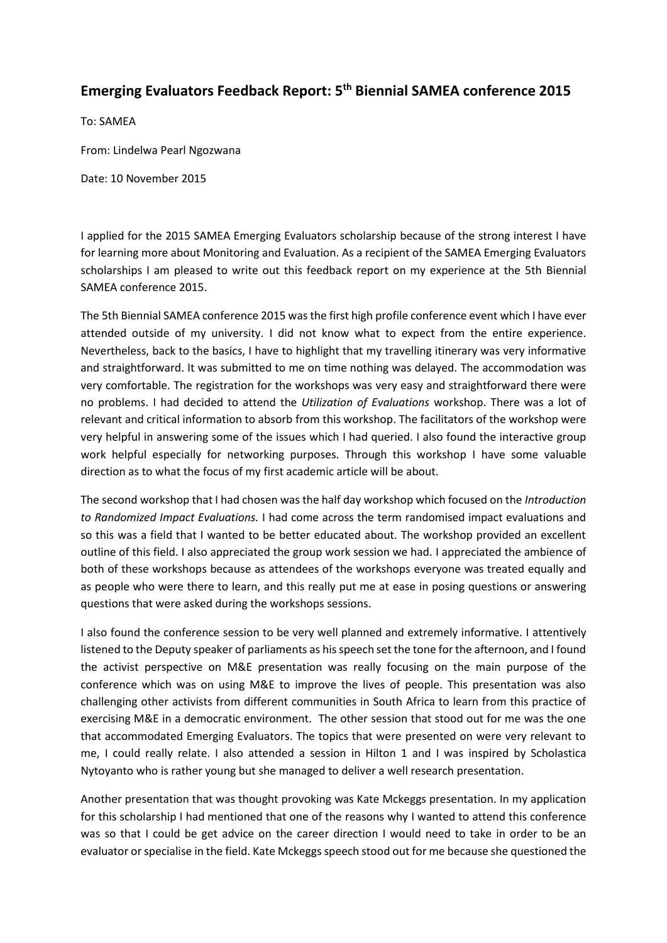## **Emerging Evaluators Feedback Report: 5th Biennial SAMEA conference 2015**

To: SAMEA

From: Lindelwa Pearl Ngozwana

Date: 10 November 2015

I applied for the 2015 SAMEA Emerging Evaluators scholarship because of the strong interest I have for learning more about Monitoring and Evaluation. As a recipient of the SAMEA Emerging Evaluators scholarships I am pleased to write out this feedback report on my experience at the 5th Biennial SAMEA conference 2015.

The 5th Biennial SAMEA conference 2015 was the first high profile conference event which I have ever attended outside of my university. I did not know what to expect from the entire experience. Nevertheless, back to the basics, I have to highlight that my travelling itinerary was very informative and straightforward. It was submitted to me on time nothing was delayed. The accommodation was very comfortable. The registration for the workshops was very easy and straightforward there were no problems. I had decided to attend the *Utilization of Evaluations* workshop. There was a lot of relevant and critical information to absorb from this workshop. The facilitators of the workshop were very helpful in answering some of the issues which I had queried. I also found the interactive group work helpful especially for networking purposes. Through this workshop I have some valuable direction as to what the focus of my first academic article will be about.

The second workshop that I had chosen was the half day workshop which focused on the *Introduction to Randomized Impact Evaluations.* I had come across the term randomised impact evaluations and so this was a field that I wanted to be better educated about. The workshop provided an excellent outline of this field. I also appreciated the group work session we had. I appreciated the ambience of both of these workshops because as attendees of the workshops everyone was treated equally and as people who were there to learn, and this really put me at ease in posing questions or answering questions that were asked during the workshops sessions.

I also found the conference session to be very well planned and extremely informative. I attentively listened to the Deputy speaker of parliaments as his speech set the tone for the afternoon, and I found the activist perspective on M&E presentation was really focusing on the main purpose of the conference which was on using M&E to improve the lives of people. This presentation was also challenging other activists from different communities in South Africa to learn from this practice of exercising M&E in a democratic environment. The other session that stood out for me was the one that accommodated Emerging Evaluators. The topics that were presented on were very relevant to me, I could really relate. I also attended a session in Hilton 1 and I was inspired by Scholastica Nytoyanto who is rather young but she managed to deliver a well research presentation.

Another presentation that was thought provoking was Kate Mckeggs presentation. In my application for this scholarship I had mentioned that one of the reasons why I wanted to attend this conference was so that I could be get advice on the career direction I would need to take in order to be an evaluator or specialise in the field. Kate Mckeggs speech stood out for me because she questioned the